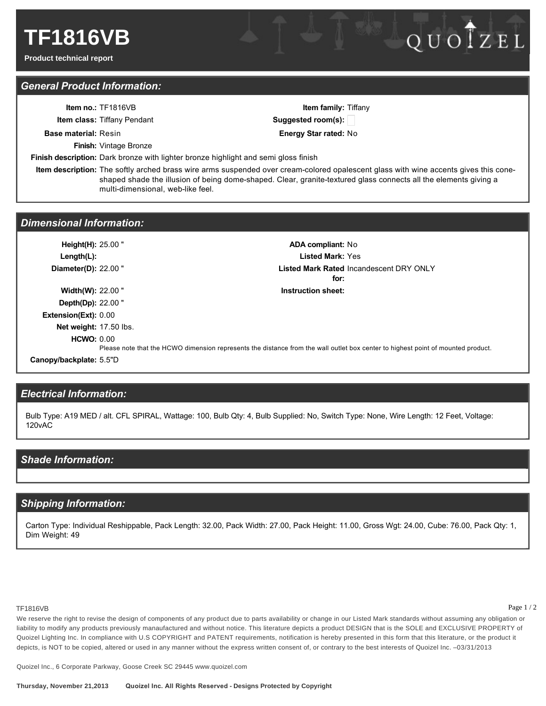# *General Product Information:*

|                             | <b>Item no.: <math>TF1816VB</math></b><br><b>Item class: Tiffany Pendant</b>                                                                                                                                                                                                                  | <b>Item family:</b> Tiffany<br>Suggested room(s): |
|-----------------------------|-----------------------------------------------------------------------------------------------------------------------------------------------------------------------------------------------------------------------------------------------------------------------------------------------|---------------------------------------------------|
| <b>Base material: Resin</b> |                                                                                                                                                                                                                                                                                               | <b>Energy Star rated: No</b>                      |
|                             | <b>Finish:</b> Vintage Bronze                                                                                                                                                                                                                                                                 |                                                   |
|                             | <b>Finish description:</b> Dark bronze with lighter bronze highlight and semi gloss finish                                                                                                                                                                                                    |                                                   |
|                             | Item description: The softly arched brass wire arms suspended over cream-colored opalescent glass with wine accents gives this cone-<br>shaped shade the illusion of being dome-shaped. Clear, granite-textured glass connects all the elements giving a<br>multi-dimensional, web-like feel. |                                                   |
|                             |                                                                                                                                                                                                                                                                                               |                                                   |

### *Dimensional Information:*

**Height(H):** 25.00 " **ADA compliant:** No **Length(L): Listed Mark:** Yes **Diameter(D): 22.00 " for:** Listed Mark Rated Incandescent DRY ONLY **Width(W):** 22.00 " **Instruction sheet: Depth(Dp):** 22.00 " **Extension(Ext):** 0.00 **Net weight:** 17.50 lbs. **HCWO:** 0.00 Please note that the HCWO dimension represents the distance from the wall outlet box center to highest point of mounted product. **Canopy/backplate:** 5.5"D

## *Electrical Information:*

Bulb Type: A19 MED / alt. CFL SPIRAL, Wattage: 100, Bulb Qty: 4, Bulb Supplied: No, Switch Type: None, Wire Length: 12 Feet, Voltage: 120vAC

### *Shade Information:*

### *Shipping Information:*

Carton Type: Individual Reshippable, Pack Length: 32.00, Pack Width: 27.00, Pack Height: 11.00, Gross Wgt: 24.00, Cube: 76.00, Pack Qty: 1, Dim Weight: 49

### TF1816VB

Page 1 / 2

QUOTZEL

We reserve the right to revise the design of components of any product due to parts availability or change in our Listed Mark standards without assuming any obligation or liability to modify any products previously manaufactured and without notice. This literature depicts a product DESIGN that is the SOLE and EXCLUSIVE PROPERTY of Quoizel Lighting Inc. In compliance with U.S COPYRIGHT and PATENT requirements, notification is hereby presented in this form that this literature, or the product it depicts, is NOT to be copied, altered or used in any manner without the express written consent of, or contrary to the best interests of Quoizel Inc. -03/31/2013

Quoizel Inc., 6 Corporate Parkway, Goose Creek SC 29445 www.quoizel.com